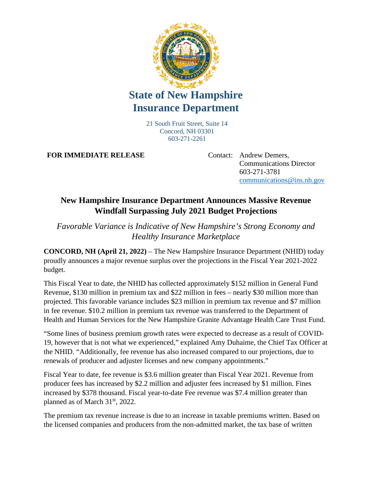

## **State of New Hampshire Insurance Department**

21 South Fruit Street, Suite 14 Concord, NH 03301 603-271-2261

**FOR IMMEDIATE RELEASE** Contact: Andrew Demers,

Communications Director 603-271-3781 [communications@ins.nh.gov](mailto:communications@ins.nh.gov)

## **New Hampshire Insurance Department Announces Massive Revenue Windfall Surpassing July 2021 Budget Projections**

*Favorable Variance is Indicative of New Hampshire's Strong Economy and Healthy Insurance Marketplace*

**CONCORD, NH (April 21, 2022)** – The New Hampshire Insurance Department (NHID) today proudly announces a major revenue surplus over the projections in the Fiscal Year 2021-2022 budget.

This Fiscal Year to date, the NHID has collected approximately \$152 million in General Fund Revenue, \$130 million in premium tax and \$22 million in fees – nearly \$30 million more than projected. This favorable variance includes \$23 million in premium tax revenue and \$7 million in fee revenue. \$10.2 million in premium tax revenue was transferred to the Department of Health and Human Services for the New Hampshire Granite Advantage Health Care Trust Fund.

"Some lines of business premium growth rates were expected to decrease as a result of COVID-19, however that is not what we experienced," explained Amy Duhaime, the Chief Tax Officer at the NHID. "Additionally, fee revenue has also increased compared to our projections, due to renewals of producer and adjuster licenses and new company appointments."

Fiscal Year to date, fee revenue is \$3.6 million greater than Fiscal Year 2021. Revenue from producer fees has increased by \$2.2 million and adjuster fees increased by \$1 million. Fines increased by \$378 thousand. Fiscal year-to-date Fee revenue was \$7.4 million greater than planned as of March 31<sup>st</sup>, 2022.

The premium tax revenue increase is due to an increase in taxable premiums written. Based on the licensed companies and producers from the non-admitted market, the tax base of written